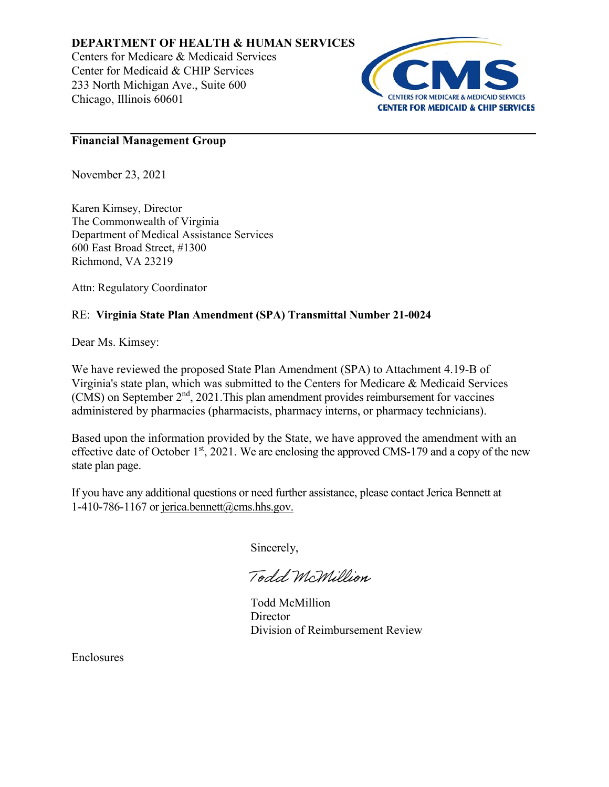## **DEPARTMENT OF HEALTH & HUMAN SERVICES**

Centers for Medicare & Medicaid Services Center for Medicaid & CHIP Services 233 North Michigan Ave., Suite 600 Chicago, Illinois 60601



### **Financial Management Group**

November 23, 2021

Karen Kimsey, Director The Commonwealth of Virginia Department of Medical Assistance Services 600 East Broad Street, #1300 Richmond, VA 23219

Attn: Regulatory Coordinator

# RE: **Virginia State Plan Amendment (SPA) Transmittal Number 21-0024**

Dear Ms. Kimsey:

We have reviewed the proposed State Plan Amendment (SPA) to Attachment 4.19-B of Virginia's state plan, which was submitted to the Centers for Medicare & Medicaid Services (CMS) on September 2<sup>nd</sup>, 2021. This plan amendment provides reimbursement for vaccines administered by pharmacies (pharmacists, pharmacy interns, or pharmacy technicians).

Based upon the information provided by the State, we have approved the amendment with an effective date of October 1<sup>st</sup>, 2021. We are enclosing the approved CMS-179 and a copy of the new state plan page.

If you have any additional questions or need further assistance, please contact Jerica Bennett at 1-410-786-1167 or jerica.bennett@cms.hhs.gov.

Sincerely,

Todd McMillion

Todd McMillion **Director** Division of Reimbursement Review

Enclosures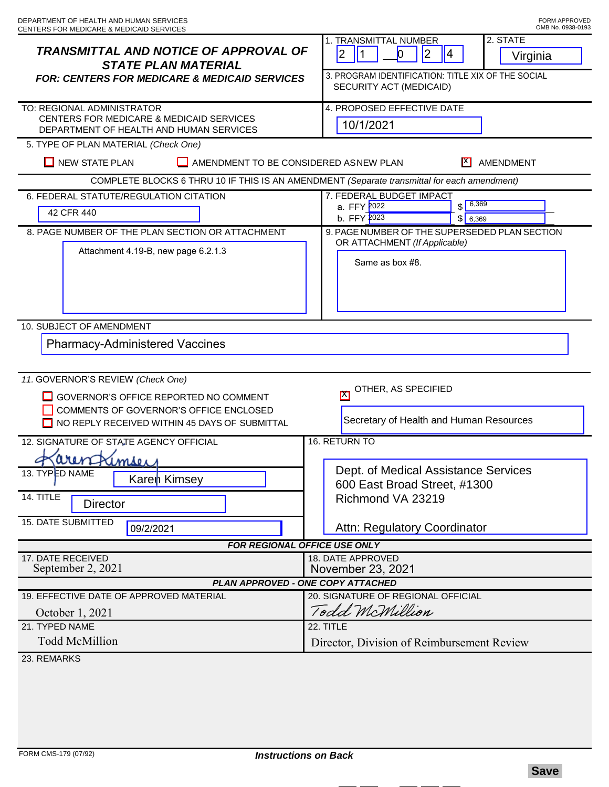| <b>TRANSMITTAL AND NOTICE OF APPROVAL OF</b><br><b>STATE PLAN MATERIAL</b><br><b>FOR: CENTERS FOR MEDICARE &amp; MEDICAID SERVICES</b>                                | 2. STATE<br>1. TRANSMITTAL NUMBER<br>$\overline{2}$<br> 2 <br><b>O</b><br>$\vert 4 \vert$<br>Virginia<br>3. PROGRAM IDENTIFICATION: TITLE XIX OF THE SOCIAL<br>SECURITY ACT (MEDICAID) |
|-----------------------------------------------------------------------------------------------------------------------------------------------------------------------|----------------------------------------------------------------------------------------------------------------------------------------------------------------------------------------|
| TO: REGIONAL ADMINISTRATOR<br>CENTERS FOR MEDICARE & MEDICAID SERVICES<br>DEPARTMENT OF HEALTH AND HUMAN SERVICES                                                     | 4. PROPOSED EFFECTIVE DATE<br>10/1/2021                                                                                                                                                |
| 5. TYPE OF PLAN MATERIAL (Check One)<br>$\Box$ NEW STATE PLAN<br>AMENDMENT TO BE CONSIDERED ASNEW PLAN<br>IX I<br>AMENDMENT                                           |                                                                                                                                                                                        |
| COMPLETE BLOCKS 6 THRU 10 IF THIS IS AN AMENDMENT (Separate transmittal for each amendment)                                                                           |                                                                                                                                                                                        |
| 6. FEDERAL STATUTE/REGULATION CITATION<br>42 CFR 440                                                                                                                  | 7. FEDERAL BUDGET IMPACT<br>$$ \frac{6,369}{ }$<br>a. FFY 2022<br>b. FFY 2023<br>\$ 6,369                                                                                              |
| 8. PAGE NUMBER OF THE PLAN SECTION OR ATTACHMENT<br>Attachment 4.19-B, new page 6.2.1.3                                                                               | 9. PAGE NUMBER OF THE SUPERSEDED PLAN SECTION<br>OR ATTACHMENT (If Applicable)<br>Same as box #8.                                                                                      |
| 10. SUBJECT OF AMENDMENT<br><b>Pharmacy-Administered Vaccines</b>                                                                                                     |                                                                                                                                                                                        |
| 11. GOVERNOR'S REVIEW (Check One)<br>GOVERNOR'S OFFICE REPORTED NO COMMENT<br>COMMENTS OF GOVERNOR'S OFFICE ENCLOSED<br>NO REPLY RECEIVED WITHIN 45 DAYS OF SUBMITTAL | OTHER, AS SPECIFIED<br>$\boxtimes$<br>Secretary of Health and Human Resources                                                                                                          |
| 12. SIGNATURE OF STATE AGENCY OFFICIAL<br>amser<br>13. TYPED NAME<br>Karen Kimsey<br>14. TITLE<br><b>Director</b><br>15. DATE SUBMITTED                               | 16. RETURN TO<br>Dept. of Medical Assistance Services<br>600 East Broad Street, #1300<br>Richmond VA 23219                                                                             |
| 09/2/2021                                                                                                                                                             | Attn: Regulatory Coordinator                                                                                                                                                           |
| <b>FOR REGIONAL OFFICE USE ONLY</b><br>17. DATE RECEIVED<br>18. DATE APPROVED                                                                                         |                                                                                                                                                                                        |
| September 2, 2021                                                                                                                                                     | November 23, 2021                                                                                                                                                                      |
| <b>PLAN APPROVED - ONE COPY ATTACHED</b>                                                                                                                              |                                                                                                                                                                                        |
| 19. EFFECTIVE DATE OF APPROVED MATERIAL<br>October 1, 2021                                                                                                            | 20. SIGNATURE OF REGIONAL OFFICIAL<br>Todd McMillion                                                                                                                                   |
| 21. TYPED NAME<br><b>Todd McMillion</b>                                                                                                                               | 22. TITLE<br>Director, Division of Reimbursement Review                                                                                                                                |
| 23. REMARKS                                                                                                                                                           |                                                                                                                                                                                        |